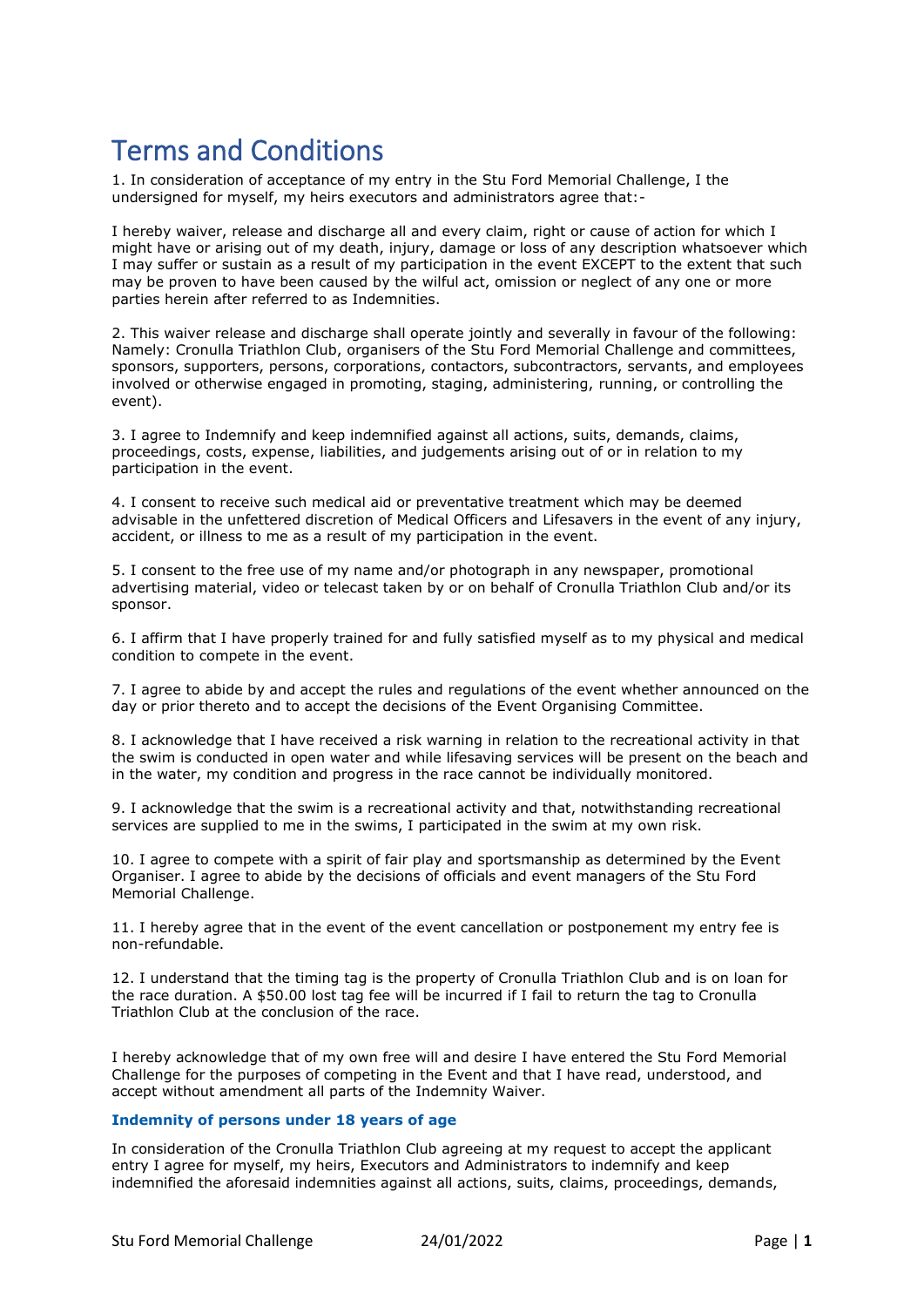## Terms and Conditions

1. In consideration of acceptance of my entry in the Stu Ford Memorial Challenge, I the undersigned for myself, my heirs executors and administrators agree that:-

I hereby waiver, release and discharge all and every claim, right or cause of action for which I might have or arising out of my death, injury, damage or loss of any description whatsoever which I may suffer or sustain as a result of my participation in the event EXCEPT to the extent that such may be proven to have been caused by the wilful act, omission or neglect of any one or more parties herein after referred to as Indemnities.

2. This waiver release and discharge shall operate jointly and severally in favour of the following: Namely: Cronulla Triathlon Club, organisers of the Stu Ford Memorial Challenge and committees, sponsors, supporters, persons, corporations, contactors, subcontractors, servants, and employees involved or otherwise engaged in promoting, staging, administering, running, or controlling the event).

3. I agree to Indemnify and keep indemnified against all actions, suits, demands, claims, proceedings, costs, expense, liabilities, and judgements arising out of or in relation to my participation in the event.

4. I consent to receive such medical aid or preventative treatment which may be deemed advisable in the unfettered discretion of Medical Officers and Lifesavers in the event of any injury, accident, or illness to me as a result of my participation in the event.

5. I consent to the free use of my name and/or photograph in any newspaper, promotional advertising material, video or telecast taken by or on behalf of Cronulla Triathlon Club and/or its sponsor.

6. I affirm that I have properly trained for and fully satisfied myself as to my physical and medical condition to compete in the event.

7. I agree to abide by and accept the rules and regulations of the event whether announced on the day or prior thereto and to accept the decisions of the Event Organising Committee.

8. I acknowledge that I have received a risk warning in relation to the recreational activity in that the swim is conducted in open water and while lifesaving services will be present on the beach and in the water, my condition and progress in the race cannot be individually monitored.

9. I acknowledge that the swim is a recreational activity and that, notwithstanding recreational services are supplied to me in the swims, I participated in the swim at my own risk.

10. I agree to compete with a spirit of fair play and sportsmanship as determined by the Event Organiser. I agree to abide by the decisions of officials and event managers of the Stu Ford Memorial Challenge.

11. I hereby agree that in the event of the event cancellation or postponement my entry fee is non-refundable.

12. I understand that the timing tag is the property of Cronulla Triathlon Club and is on loan for the race duration. A \$50.00 lost tag fee will be incurred if I fail to return the tag to Cronulla Triathlon Club at the conclusion of the race.

I hereby acknowledge that of my own free will and desire I have entered the Stu Ford Memorial Challenge for the purposes of competing in the Event and that I have read, understood, and accept without amendment all parts of the Indemnity Waiver.

## **Indemnity of persons under 18 years of age**

In consideration of the Cronulla Triathlon Club agreeing at my request to accept the applicant entry I agree for myself, my heirs, Executors and Administrators to indemnify and keep indemnified the aforesaid indemnities against all actions, suits, claims, proceedings, demands,